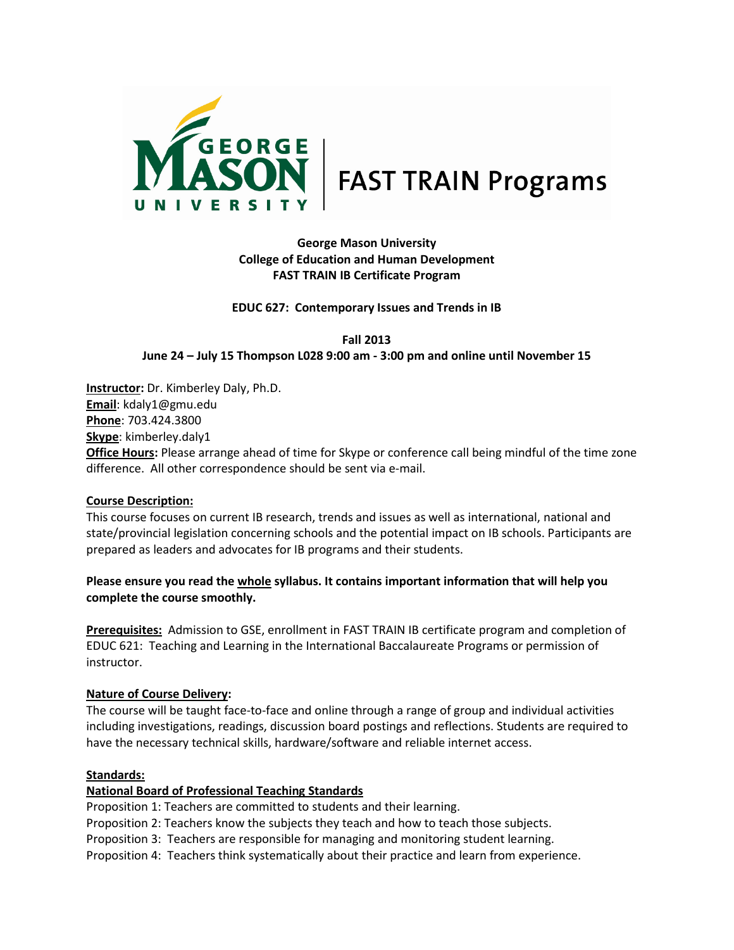

# **George Mason University College of Education and Human Development FAST TRAIN IB Certificate Program**

**EDUC 627: Contemporary Issues and Trends in IB**

**Fall 2013 June 24 – July 15 Thompson L028 9:00 am - 3:00 pm and online until November 15**

**Instructor:** Dr. Kimberley Daly, Ph.D. **Email**[: kdaly1@gmu.edu](mailto:kdaly1@gmu.edu) **Phone**: 703.424.3800 **Skype**: kimberley.daly1 **Office Hours:** Please arrange ahead of time for Skype or conference call being mindful of the time zone difference. All other correspondence should be sent via e-mail.

# **Course Description:**

This course focuses on current IB research, trends and issues as well as international, national and state/provincial legislation concerning schools and the potential impact on IB schools. Participants are prepared as leaders and advocates for IB programs and their students.

# **Please ensure you read the whole syllabus. It contains important information that will help you complete the course smoothly.**

**Prerequisites:** Admission to GSE, enrollment in FAST TRAIN IB certificate program and completion of EDUC 621: Teaching and Learning in the International Baccalaureate Programs or permission of instructor.

# **Nature of Course Delivery:**

The course will be taught face-to-face and online through a range of group and individual activities including investigations, readings, discussion board postings and reflections. Students are required to have the necessary technical skills, hardware/software and reliable internet access.

# **Standards:**

# **National Board of Professional Teaching Standards**

Proposition 1: Teachers are committed to students and their learning.

Proposition 2: Teachers know the subjects they teach and how to teach those subjects.

Proposition 3: Teachers are responsible for managing and monitoring student learning.

Proposition 4: Teachers think systematically about their practice and learn from experience.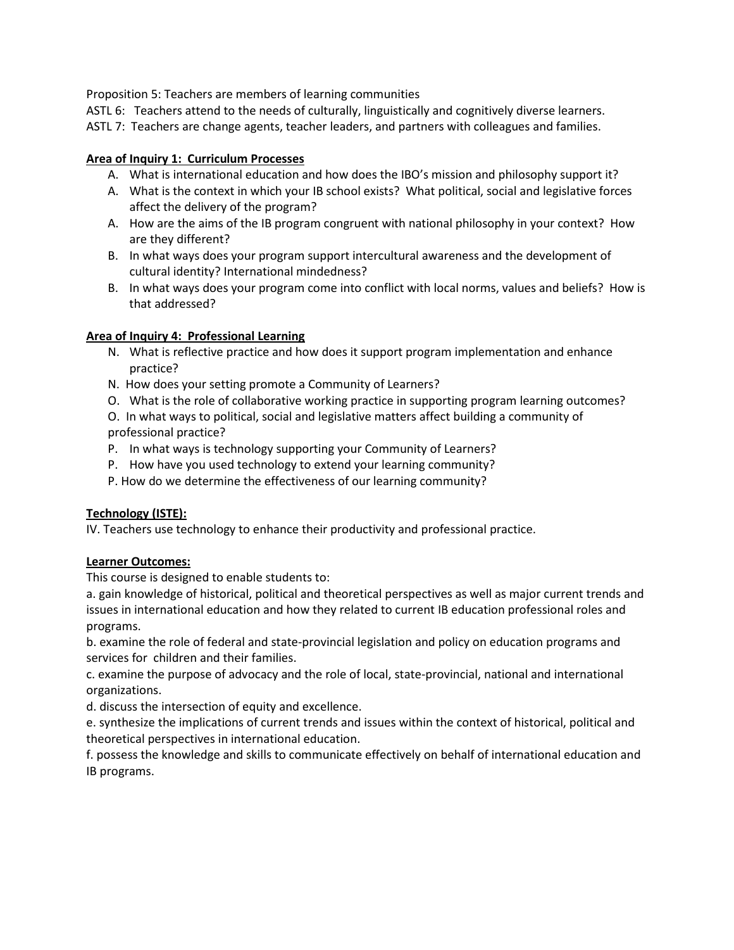Proposition 5: Teachers are members of learning communities

ASTL 6: Teachers attend to the needs of culturally, linguistically and cognitively diverse learners.

ASTL 7: Teachers are change agents, teacher leaders, and partners with colleagues and families.

# **Area of Inquiry 1: Curriculum Processes**

- A. What is international education and how does the IBO's mission and philosophy support it?
- A. What is the context in which your IB school exists? What political, social and legislative forces affect the delivery of the program?
- A. How are the aims of the IB program congruent with national philosophy in your context? How are they different?
- B. In what ways does your program support intercultural awareness and the development of cultural identity? International mindedness?
- B. In what ways does your program come into conflict with local norms, values and beliefs? How is that addressed?

# **Area of Inquiry 4: Professional Learning**

- N. What is reflective practice and how does it support program implementation and enhance practice?
- N. How does your setting promote a Community of Learners?
- O. What is the role of collaborative working practice in supporting program learning outcomes?
- O. In what ways to political, social and legislative matters affect building a community of professional practice?
- P. In what ways is technology supporting your Community of Learners?
- P. How have you used technology to extend your learning community?
- P. How do we determine the effectiveness of our learning community?

# **Technology (ISTE):**

IV. Teachers use technology to enhance their productivity and professional practice.

# **Learner Outcomes:**

This course is designed to enable students to:

a. gain knowledge of historical, political and theoretical perspectives as well as major current trends and issues in international education and how they related to current IB education professional roles and programs.

b. examine the role of federal and state-provincial legislation and policy on education programs and services for children and their families.

c. examine the purpose of advocacy and the role of local, state-provincial, national and international organizations.

d. discuss the intersection of equity and excellence.

e. synthesize the implications of current trends and issues within the context of historical, political and theoretical perspectives in international education.

f. possess the knowledge and skills to communicate effectively on behalf of international education and IB programs.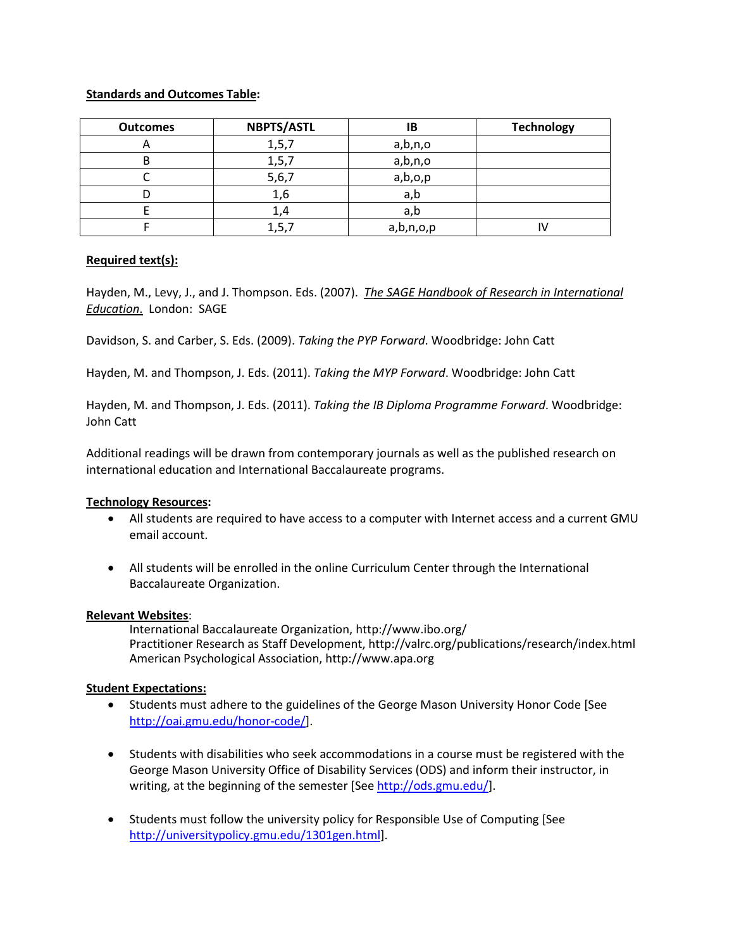# **Standards and Outcomes Table:**

| <b>Outcomes</b> | <b>NBPTS/ASTL</b> | IΒ        | <b>Technology</b> |
|-----------------|-------------------|-----------|-------------------|
|                 | 1, 5, 7           | a,b,n,o   |                   |
|                 | 1, 5, 7           | a,b,n,o   |                   |
|                 | 5,6,7             | a,b,o,p   |                   |
|                 | 1,6               | a,b       |                   |
|                 | 1,4               | a,b       |                   |
|                 | 1, 5, 7           | a,b,n,o,p |                   |

# **Required text(s):**

Hayden, M., Levy, J., and J. Thompson. Eds. (2007). *The SAGE Handbook of Research in International Education*. London: SAGE

Davidson, S. and Carber, S. Eds. (2009). *Taking the PYP Forward*. Woodbridge: John Catt

Hayden, M. and Thompson, J. Eds. (2011). *Taking the MYP Forward*. Woodbridge: John Catt

Hayden, M. and Thompson, J. Eds. (2011). *Taking the IB Diploma Programme Forward*. Woodbridge: John Catt

Additional readings will be drawn from contemporary journals as well as the published research on international education and International Baccalaureate programs.

# **Technology Resources:**

- All students are required to have access to a computer with Internet access and a current GMU email account.
- All students will be enrolled in the online Curriculum Center through the International Baccalaureate Organization.

# **Relevant Websites**:

International Baccalaureate Organization,<http://www.ibo.org/> Practitioner Research as Staff Development[, http://valrc.org/publications/research/index.html](http://valrc.org/publications/research/index.html) American Psychological Association[, http://www.apa.org](http://www.apa.org/)

#### **Student Expectations:**

- Students must adhere to the guidelines of the George Mason University Honor Code [See [http://oai.gmu.edu/honor-code/\]](https://sn2prd0106.outlook.com/owa/UrlBlockedError.aspx).
- Students with disabilities who seek accommodations in a course must be registered with the George Mason University Office of Disability Services (ODS) and inform their instructor, in writing, at the beginning of the semester [Se[e http://ods.gmu.edu/\]](http://ods.gmu.edu/).
- Students must follow the university policy for Responsible Use of Computing [See [http://universitypolicy.gmu.edu/1301gen.html\]](http://universitypolicy.gmu.edu/1301gen.html).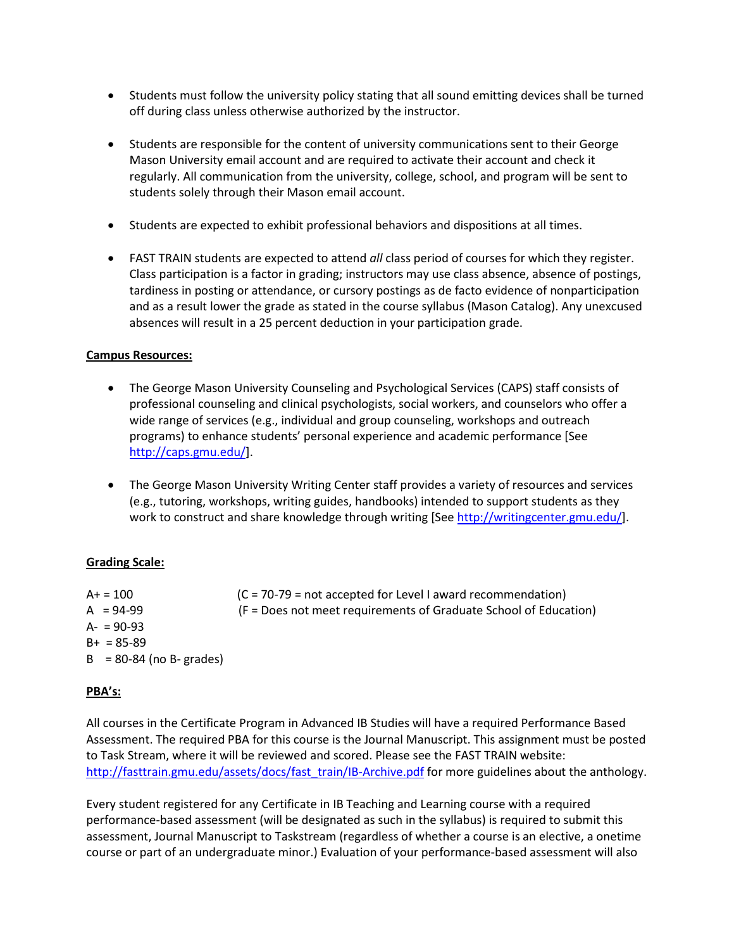- Students must follow the university policy stating that all sound emitting devices shall be turned off during class unless otherwise authorized by the instructor.
- Students are responsible for the content of university communications sent to their George Mason University email account and are required to activate their account and check it regularly. All communication from the university, college, school, and program will be sent to students solely through their Mason email account.
- Students are expected to exhibit professional behaviors and dispositions at all times.
- FAST TRAIN students are expected to attend *all* class period of courses for which they register. Class participation is a factor in grading; instructors may use class absence, absence of postings, tardiness in posting or attendance, or cursory postings as de facto evidence of nonparticipation and as a result lower the grade as stated in the course syllabus (Mason Catalog). Any unexcused absences will result in a 25 percent deduction in your participation grade.

#### **Campus Resources:**

- The George Mason University Counseling and Psychological Services (CAPS) staff consists of professional counseling and clinical psychologists, social workers, and counselors who offer a wide range of services (e.g., individual and group counseling, workshops and outreach programs) to enhance students' personal experience and academic performance [See [http://caps.gmu.edu/\]](http://caps.gmu.edu/).
- The George Mason University Writing Center staff provides a variety of resources and services (e.g., tutoring, workshops, writing guides, handbooks) intended to support students as they work to construct and share knowledge through writing [Se[e http://writingcenter.gmu.edu/\]](http://writingcenter.gmu.edu/).

# **Grading Scale:**

| $A+ = 100$                 | $(C = 70-79 = not accepted for Level I award recommendation)$    |
|----------------------------|------------------------------------------------------------------|
| $A = 94-99$                | (F = Does not meet requirements of Graduate School of Education) |
| $A - 90 - 93$              |                                                                  |
| $B_{+} = 85 - 89$          |                                                                  |
| $B = 80-84$ (no B- grades) |                                                                  |

#### **PBA's:**

All courses in the Certificate Program in Advanced IB Studies will have a required Performance Based Assessment. The required PBA for this course is the Journal Manuscript. This assignment must be posted to Task Stream, where it will be reviewed and scored. Please see the FAST TRAIN website: [http://fasttrain.gmu.edu/assets/docs/fast\\_train/IB-Archive.pdf](http://fasttrain.gmu.edu/assets/docs/fast_train/IB-Archive.pdf) for more guidelines about the anthology.

Every student registered for any Certificate in IB Teaching and Learning course with a required performance-based assessment (will be designated as such in the syllabus) is required to submit this assessment, Journal Manuscript to Taskstream (regardless of whether a course is an elective, a onetime course or part of an undergraduate minor.) Evaluation of your performance-based assessment will also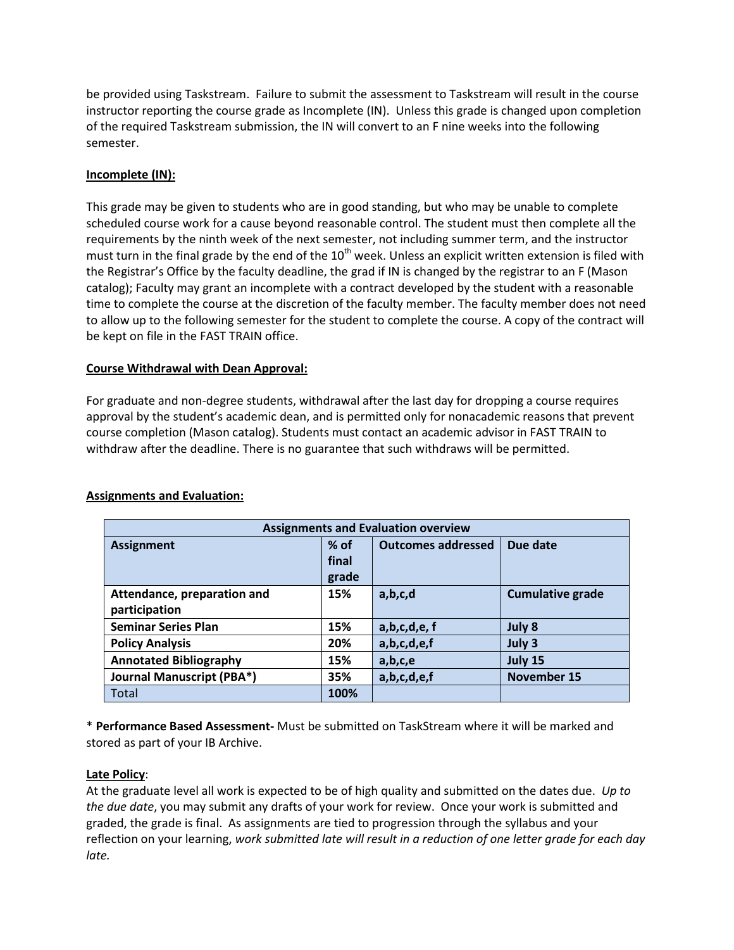be provided using Taskstream. Failure to submit the assessment to Taskstream will result in the course instructor reporting the course grade as Incomplete (IN). Unless this grade is changed upon completion of the required Taskstream submission, the IN will convert to an F nine weeks into the following semester.

# **Incomplete (IN):**

This grade may be given to students who are in good standing, but who may be unable to complete scheduled course work for a cause beyond reasonable control. The student must then complete all the requirements by the ninth week of the next semester, not including summer term, and the instructor must turn in the final grade by the end of the  $10<sup>th</sup>$  week. Unless an explicit written extension is filed with the Registrar's Office by the faculty deadline, the grad if IN is changed by the registrar to an F (Mason catalog); Faculty may grant an incomplete with a contract developed by the student with a reasonable time to complete the course at the discretion of the faculty member. The faculty member does not need to allow up to the following semester for the student to complete the course. A copy of the contract will be kept on file in the FAST TRAIN office.

# **Course Withdrawal with Dean Approval:**

For graduate and non-degree students, withdrawal after the last day for dropping a course requires approval by the student's academic dean, and is permitted only for nonacademic reasons that prevent course completion (Mason catalog). Students must contact an academic advisor in FAST TRAIN to withdraw after the deadline. There is no guarantee that such withdraws will be permitted.

| <b>Assignments and Evaluation overview</b>                         |       |             |                         |  |
|--------------------------------------------------------------------|-------|-------------|-------------------------|--|
| <b>Outcomes addressed</b><br>% of<br>Due date<br><b>Assignment</b> |       |             |                         |  |
|                                                                    | final |             |                         |  |
|                                                                    | grade |             |                         |  |
| Attendance, preparation and                                        | 15%   | a,b,c,d     | <b>Cumulative grade</b> |  |
| participation                                                      |       |             |                         |  |
| <b>Seminar Series Plan</b>                                         | 15%   | a,b,c,d,e,f | July 8                  |  |
| <b>Policy Analysis</b>                                             | 20%   | a,b,c,d,e,f | July 3                  |  |
| <b>Annotated Bibliography</b>                                      | 15%   | a,b,c,e     | July 15                 |  |
| <b>Journal Manuscript (PBA*)</b>                                   | 35%   | a,b,c,d,e,f | <b>November 15</b>      |  |
| Total                                                              | 100%  |             |                         |  |

# **Assignments and Evaluation:**

\* **Performance Based Assessment-** Must be submitted on TaskStream where it will be marked and stored as part of your IB Archive.

# **Late Policy**:

At the graduate level all work is expected to be of high quality and submitted on the dates due. *Up to the due date*, you may submit any drafts of your work for review. Once your work is submitted and graded, the grade is final. As assignments are tied to progression through the syllabus and your reflection on your learning, *work submitted late will result in a reduction of one letter grade for each day late.*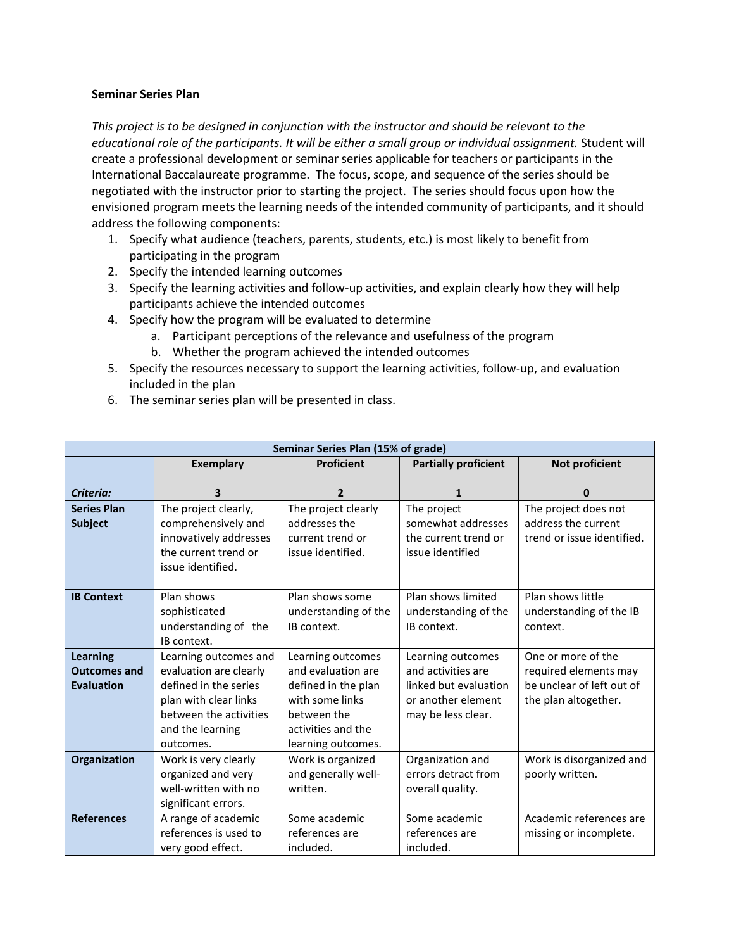#### **Seminar Series Plan**

*This project is to be designed in conjunction with the instructor and should be relevant to the educational role of the participants. It will be either a small group or individual assignment.* Student will create a professional development or seminar series applicable for teachers or participants in the International Baccalaureate programme. The focus, scope, and sequence of the series should be negotiated with the instructor prior to starting the project. The series should focus upon how the envisioned program meets the learning needs of the intended community of participants, and it should address the following components:

- 1. Specify what audience (teachers, parents, students, etc.) is most likely to benefit from participating in the program
- 2. Specify the intended learning outcomes
- 3. Specify the learning activities and follow-up activities, and explain clearly how they will help participants achieve the intended outcomes
- 4. Specify how the program will be evaluated to determine
	- a. Participant perceptions of the relevance and usefulness of the program
	- b. Whether the program achieved the intended outcomes
- 5. Specify the resources necessary to support the learning activities, follow-up, and evaluation included in the plan
- 6. The seminar series plan will be presented in class.

| Seminar Series Plan (15% of grade) |                        |                      |                             |                            |
|------------------------------------|------------------------|----------------------|-----------------------------|----------------------------|
|                                    | <b>Exemplary</b>       | <b>Proficient</b>    | <b>Partially proficient</b> | Not proficient             |
|                                    |                        |                      |                             |                            |
| Criteria:                          | 3                      | 2                    | 1                           | O                          |
| <b>Series Plan</b>                 | The project clearly,   | The project clearly  | The project                 | The project does not       |
| <b>Subject</b>                     | comprehensively and    | addresses the        | somewhat addresses          | address the current        |
|                                    | innovatively addresses | current trend or     | the current trend or        | trend or issue identified. |
|                                    | the current trend or   | issue identified.    | issue identified            |                            |
|                                    | issue identified.      |                      |                             |                            |
|                                    |                        |                      |                             |                            |
| <b>IB Context</b>                  | Plan shows             | Plan shows some      | Plan shows limited          | Plan shows little          |
|                                    | sophisticated          | understanding of the | understanding of the        | understanding of the IB    |
|                                    | understanding of the   | IB context.          | IB context.                 | context.                   |
|                                    | IB context.            |                      |                             |                            |
| <b>Learning</b>                    | Learning outcomes and  | Learning outcomes    | Learning outcomes           | One or more of the         |
| <b>Outcomes and</b>                | evaluation are clearly | and evaluation are   | and activities are          | required elements may      |
| <b>Evaluation</b>                  | defined in the series  | defined in the plan  | linked but evaluation       | be unclear of left out of  |
|                                    | plan with clear links  | with some links      | or another element          | the plan altogether.       |
|                                    | between the activities | between the          | may be less clear.          |                            |
|                                    | and the learning       | activities and the   |                             |                            |
|                                    | outcomes.              | learning outcomes.   |                             |                            |
| Organization                       | Work is very clearly   | Work is organized    | Organization and            | Work is disorganized and   |
|                                    | organized and very     | and generally well-  | errors detract from         | poorly written.            |
|                                    | well-written with no   | written.             | overall quality.            |                            |
|                                    | significant errors.    |                      |                             |                            |
| <b>References</b>                  | A range of academic    | Some academic        | Some academic               | Academic references are    |
|                                    | references is used to  | references are       | references are              | missing or incomplete.     |
|                                    | very good effect.      | included.            | included.                   |                            |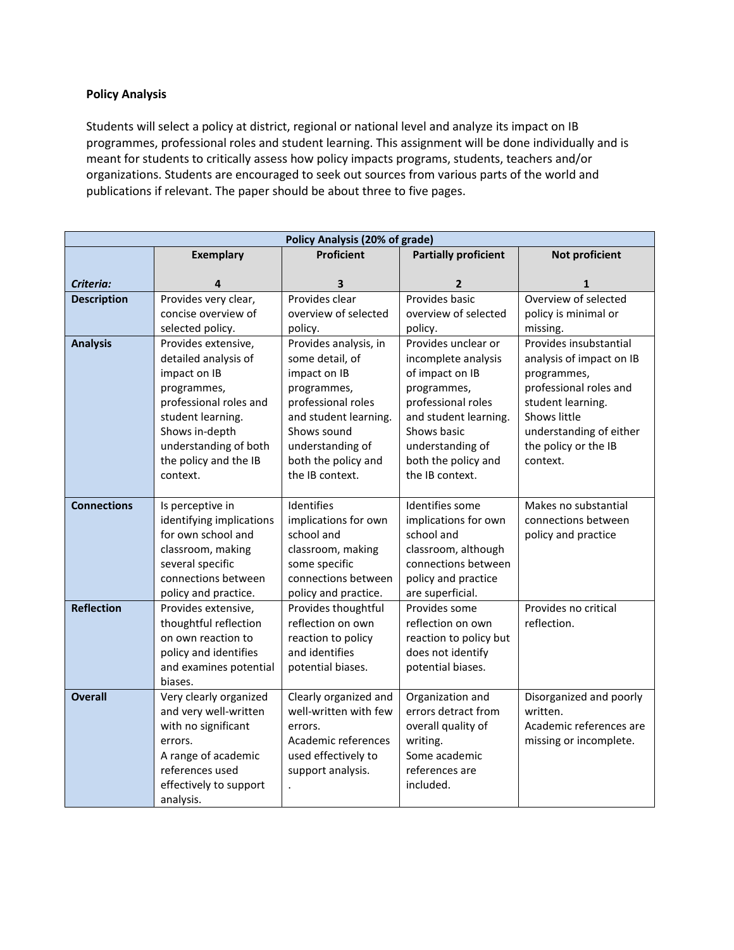# **Policy Analysis**

Students will select a policy at district, regional or national level and analyze its impact on IB programmes, professional roles and student learning. This assignment will be done individually and is meant for students to critically assess how policy impacts programs, students, teachers and/or organizations. Students are encouraged to seek out sources from various parts of the world and publications if relevant. The paper should be about three to five pages.

| <b>Policy Analysis (20% of grade)</b> |                                             |                                          |                                             |                          |
|---------------------------------------|---------------------------------------------|------------------------------------------|---------------------------------------------|--------------------------|
|                                       | <b>Exemplary</b>                            | <b>Proficient</b>                        | <b>Partially proficient</b>                 | Not proficient           |
|                                       |                                             |                                          |                                             |                          |
| Criteria:                             | 4                                           | 3                                        | 2                                           | 1                        |
| <b>Description</b>                    | Provides very clear,                        | Provides clear                           | Provides basic                              | Overview of selected     |
|                                       | concise overview of                         | overview of selected                     | overview of selected                        | policy is minimal or     |
|                                       | selected policy.                            | policy.                                  | policy.                                     | missing.                 |
| <b>Analysis</b>                       | Provides extensive,                         | Provides analysis, in                    | Provides unclear or                         | Provides insubstantial   |
|                                       | detailed analysis of                        | some detail, of                          | incomplete analysis                         | analysis of impact on IB |
|                                       | impact on IB                                | impact on IB                             | of impact on IB                             | programmes,              |
|                                       | programmes,                                 | programmes,                              | programmes,                                 | professional roles and   |
|                                       | professional roles and                      | professional roles                       | professional roles                          | student learning.        |
|                                       | student learning.                           | and student learning.                    | and student learning.                       | Shows little             |
|                                       | Shows in-depth                              | Shows sound                              | Shows basic                                 | understanding of either  |
|                                       | understanding of both                       | understanding of                         | understanding of                            | the policy or the IB     |
|                                       | the policy and the IB                       | both the policy and                      | both the policy and                         | context.                 |
|                                       | context.                                    | the IB context.                          | the IB context.                             |                          |
|                                       |                                             |                                          |                                             |                          |
| <b>Connections</b>                    | Is perceptive in                            | Identifies                               | Identifies some                             | Makes no substantial     |
|                                       | identifying implications                    | implications for own                     | implications for own                        | connections between      |
|                                       | for own school and                          | school and                               | school and                                  | policy and practice      |
|                                       | classroom, making                           | classroom, making                        | classroom, although                         |                          |
|                                       | several specific                            | some specific                            | connections between                         |                          |
|                                       | connections between                         | connections between                      | policy and practice                         |                          |
| <b>Reflection</b>                     | policy and practice.                        | policy and practice.                     | are superficial.<br>Provides some           | Provides no critical     |
|                                       | Provides extensive,                         | Provides thoughtful<br>reflection on own |                                             | reflection.              |
|                                       | thoughtful reflection                       |                                          | reflection on own                           |                          |
|                                       | on own reaction to<br>policy and identifies | reaction to policy<br>and identifies     | reaction to policy but<br>does not identify |                          |
|                                       | and examines potential                      | potential biases.                        | potential biases.                           |                          |
|                                       | biases.                                     |                                          |                                             |                          |
| <b>Overall</b>                        | Very clearly organized                      | Clearly organized and                    | Organization and                            | Disorganized and poorly  |
|                                       | and very well-written                       | well-written with few                    | errors detract from                         | written.                 |
|                                       | with no significant                         | errors.                                  | overall quality of                          | Academic references are  |
|                                       | errors.                                     | Academic references                      | writing.                                    | missing or incomplete.   |
|                                       | A range of academic                         | used effectively to                      | Some academic                               |                          |
|                                       | references used                             | support analysis.                        | references are                              |                          |
|                                       | effectively to support                      |                                          | included.                                   |                          |
|                                       | analysis.                                   |                                          |                                             |                          |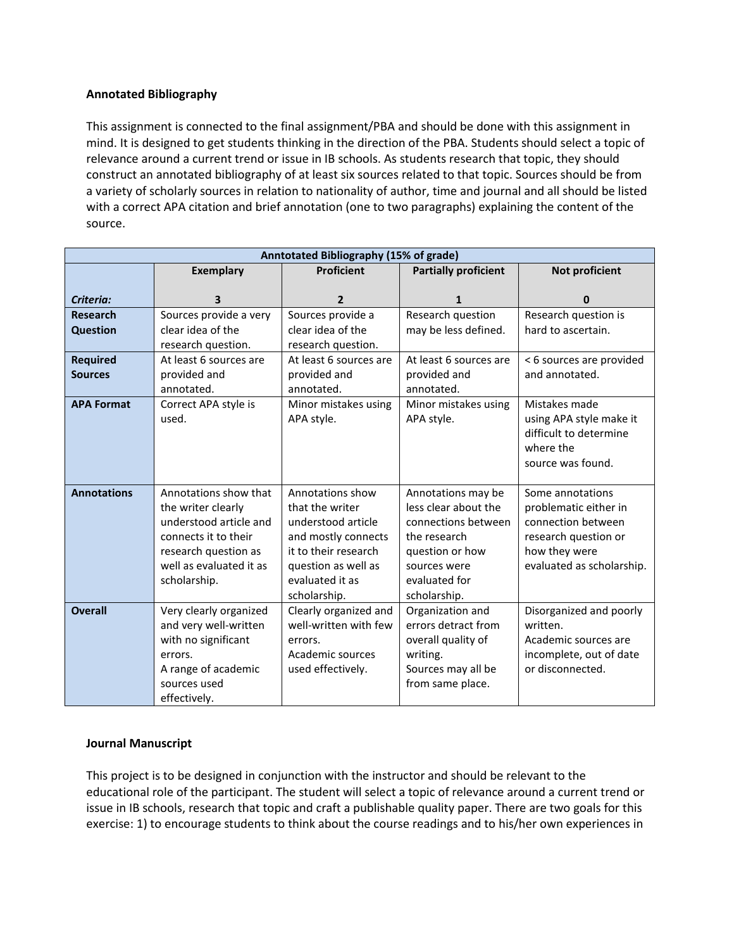# **Annotated Bibliography**

This assignment is connected to the final assignment/PBA and should be done with this assignment in mind. It is designed to get students thinking in the direction of the PBA. Students should select a topic of relevance around a current trend or issue in IB schools. As students research that topic, they should construct an annotated bibliography of at least six sources related to that topic. Sources should be from a variety of scholarly sources in relation to nationality of author, time and journal and all should be listed with a correct APA citation and brief annotation (one to two paragraphs) explaining the content of the source.

| Anntotated Bibliography (15% of grade) |                                                                      |                        |                        |                           |
|----------------------------------------|----------------------------------------------------------------------|------------------------|------------------------|---------------------------|
|                                        | <b>Proficient</b><br><b>Partially proficient</b><br><b>Exemplary</b> |                        |                        | Not proficient            |
|                                        |                                                                      |                        |                        |                           |
| Criteria:                              | 3                                                                    | $\mathbf{2}$           | 1                      | 0                         |
| <b>Research</b>                        | Sources provide a very                                               | Sources provide a      | Research question      | Research question is      |
| <b>Question</b>                        | clear idea of the                                                    | clear idea of the      | may be less defined.   | hard to ascertain.        |
|                                        | research question.                                                   | research question.     |                        |                           |
| <b>Required</b>                        | At least 6 sources are                                               | At least 6 sources are | At least 6 sources are | < 6 sources are provided  |
| <b>Sources</b>                         | provided and                                                         | provided and           | provided and           | and annotated.            |
|                                        | annotated.                                                           | annotated.             | annotated.             |                           |
| <b>APA Format</b>                      | Correct APA style is                                                 | Minor mistakes using   | Minor mistakes using   | Mistakes made             |
|                                        | used.                                                                | APA style.             | APA style.             | using APA style make it   |
|                                        |                                                                      |                        |                        | difficult to determine    |
|                                        |                                                                      |                        |                        | where the                 |
|                                        |                                                                      |                        |                        | source was found.         |
|                                        |                                                                      |                        |                        |                           |
| <b>Annotations</b>                     | Annotations show that                                                | Annotations show       | Annotations may be     | Some annotations          |
|                                        | the writer clearly                                                   | that the writer        | less clear about the   | problematic either in     |
|                                        | understood article and                                               | understood article     | connections between    | connection between        |
|                                        | connects it to their                                                 | and mostly connects    | the research           | research question or      |
|                                        | research question as                                                 | it to their research   | question or how        | how they were             |
|                                        | well as evaluated it as                                              | question as well as    | sources were           | evaluated as scholarship. |
|                                        | scholarship.                                                         | evaluated it as        | evaluated for          |                           |
|                                        |                                                                      | scholarship.           | scholarship.           |                           |
| <b>Overall</b>                         | Very clearly organized                                               | Clearly organized and  | Organization and       | Disorganized and poorly   |
|                                        | and very well-written                                                | well-written with few  | errors detract from    | written.                  |
|                                        | with no significant                                                  | errors.                | overall quality of     | Academic sources are      |
|                                        | errors.                                                              | Academic sources       | writing.               | incomplete, out of date   |
|                                        | A range of academic                                                  | used effectively.      | Sources may all be     | or disconnected.          |
|                                        | sources used                                                         |                        | from same place.       |                           |
|                                        | effectively.                                                         |                        |                        |                           |

# **Journal Manuscript**

This project is to be designed in conjunction with the instructor and should be relevant to the educational role of the participant. The student will select a topic of relevance around a current trend or issue in IB schools, research that topic and craft a publishable quality paper. There are two goals for this exercise: 1) to encourage students to think about the course readings and to his/her own experiences in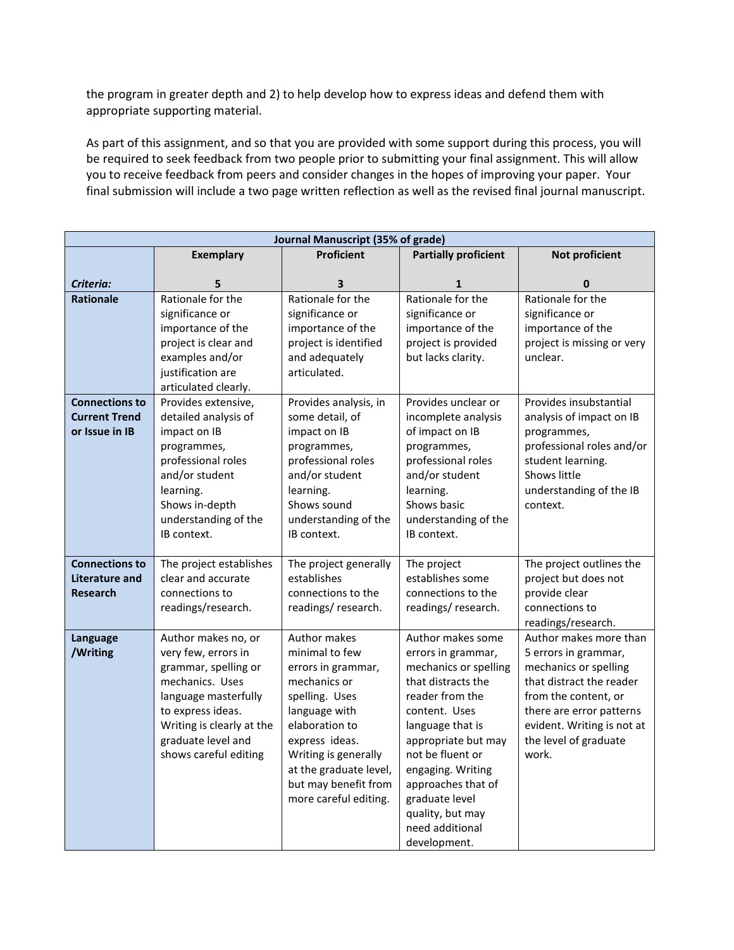the program in greater depth and 2) to help develop how to express ideas and defend them with appropriate supporting material.

As part of this assignment, and so that you are provided with some support during this process, you will be required to seek feedback from two people prior to submitting your final assignment. This will allow you to receive feedback from peers and consider changes in the hopes of improving your paper. Your final submission will include a two page written reflection as well as the revised final journal manuscript.

| Journal Manuscript (35% of grade) |                                     |                                     |                                     |                            |
|-----------------------------------|-------------------------------------|-------------------------------------|-------------------------------------|----------------------------|
|                                   | <b>Exemplary</b>                    | <b>Proficient</b>                   | <b>Partially proficient</b>         | Not proficient             |
|                                   |                                     |                                     |                                     |                            |
| Criteria:                         | 5                                   | 3                                   | 1                                   | 0                          |
| <b>Rationale</b>                  | Rationale for the                   | Rationale for the                   | Rationale for the                   | Rationale for the          |
|                                   | significance or                     | significance or                     | significance or                     | significance or            |
|                                   | importance of the                   | importance of the                   | importance of the                   | importance of the          |
|                                   | project is clear and                | project is identified               | project is provided                 | project is missing or very |
|                                   | examples and/or                     | and adequately                      | but lacks clarity.                  | unclear.                   |
|                                   | justification are                   | articulated.                        |                                     |                            |
|                                   | articulated clearly.                |                                     |                                     |                            |
| <b>Connections to</b>             | Provides extensive,                 | Provides analysis, in               | Provides unclear or                 | Provides insubstantial     |
| <b>Current Trend</b>              | detailed analysis of                | some detail, of                     | incomplete analysis                 | analysis of impact on IB   |
| or Issue in IB                    | impact on IB                        | impact on IB                        | of impact on IB                     | programmes,                |
|                                   | programmes,                         | programmes,                         | programmes,                         | professional roles and/or  |
|                                   | professional roles                  | professional roles                  | professional roles                  | student learning.          |
|                                   | and/or student                      | and/or student                      | and/or student                      | Shows little               |
|                                   | learning.                           | learning.                           | learning.<br>Shows basic            | understanding of the IB    |
|                                   | Shows in-depth                      | Shows sound                         |                                     | context.                   |
|                                   | understanding of the<br>IB context. | understanding of the<br>IB context. | understanding of the<br>IB context. |                            |
|                                   |                                     |                                     |                                     |                            |
| <b>Connections to</b>             | The project establishes             | The project generally               | The project                         | The project outlines the   |
| Literature and                    | clear and accurate                  | establishes                         | establishes some                    | project but does not       |
| <b>Research</b>                   | connections to                      | connections to the                  | connections to the                  | provide clear              |
|                                   | readings/research.                  | readings/research.                  | readings/research.                  | connections to             |
|                                   |                                     |                                     |                                     | readings/research.         |
| Language                          | Author makes no, or                 | Author makes                        | Author makes some                   | Author makes more than     |
| /Writing                          | very few, errors in                 | minimal to few                      | errors in grammar,                  | 5 errors in grammar,       |
|                                   | grammar, spelling or                | errors in grammar,                  | mechanics or spelling               | mechanics or spelling      |
|                                   | mechanics. Uses                     | mechanics or                        | that distracts the                  | that distract the reader   |
|                                   | language masterfully                | spelling. Uses                      | reader from the                     | from the content, or       |
|                                   | to express ideas.                   | language with                       | content. Uses                       | there are error patterns   |
|                                   | Writing is clearly at the           | elaboration to                      | language that is                    | evident. Writing is not at |
|                                   | graduate level and                  | express ideas.                      | appropriate but may                 | the level of graduate      |
|                                   | shows careful editing               | Writing is generally                | not be fluent or                    | work.                      |
|                                   |                                     | at the graduate level,              | engaging. Writing                   |                            |
|                                   |                                     | but may benefit from                | approaches that of                  |                            |
|                                   |                                     | more careful editing.               | graduate level                      |                            |
|                                   |                                     |                                     | quality, but may                    |                            |
|                                   |                                     |                                     | need additional                     |                            |
|                                   |                                     |                                     | development.                        |                            |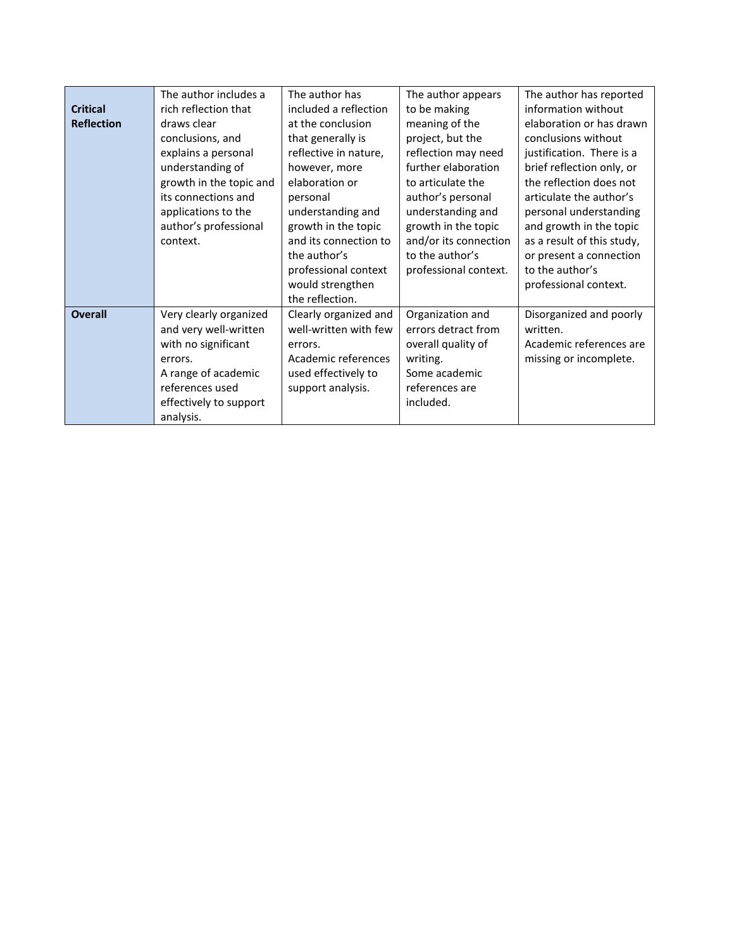|                   | The author includes a   | The author has        | The author appears    | The author has reported    |
|-------------------|-------------------------|-----------------------|-----------------------|----------------------------|
| <b>Critical</b>   | rich reflection that    | included a reflection | to be making          | information without        |
| <b>Reflection</b> | draws clear             | at the conclusion     | meaning of the        | elaboration or has drawn   |
|                   | conclusions, and        | that generally is     | project, but the      | conclusions without        |
|                   | explains a personal     | reflective in nature, | reflection may need   | justification. There is a  |
|                   | understanding of        | however, more         | further elaboration   | brief reflection only, or  |
|                   | growth in the topic and | elaboration or        | to articulate the     | the reflection does not    |
|                   | its connections and     | personal              | author's personal     | articulate the author's    |
|                   | applications to the     | understanding and     | understanding and     | personal understanding     |
|                   | author's professional   | growth in the topic   | growth in the topic   | and growth in the topic    |
|                   | context.                | and its connection to | and/or its connection | as a result of this study, |
|                   |                         | the author's          | to the author's       | or present a connection    |
|                   |                         | professional context  | professional context. | to the author's            |
|                   |                         | would strengthen      |                       | professional context.      |
|                   |                         | the reflection.       |                       |                            |
| <b>Overall</b>    | Very clearly organized  | Clearly organized and | Organization and      | Disorganized and poorly    |
|                   | and very well-written   | well-written with few | errors detract from   | written.                   |
|                   | with no significant     | errors.               | overall quality of    | Academic references are    |
|                   | errors.                 | Academic references   | writing.              | missing or incomplete.     |
|                   | A range of academic     | used effectively to   | Some academic         |                            |
|                   | references used         | support analysis.     | references are        |                            |
|                   | effectively to support  |                       | included.             |                            |
|                   | analysis.               |                       |                       |                            |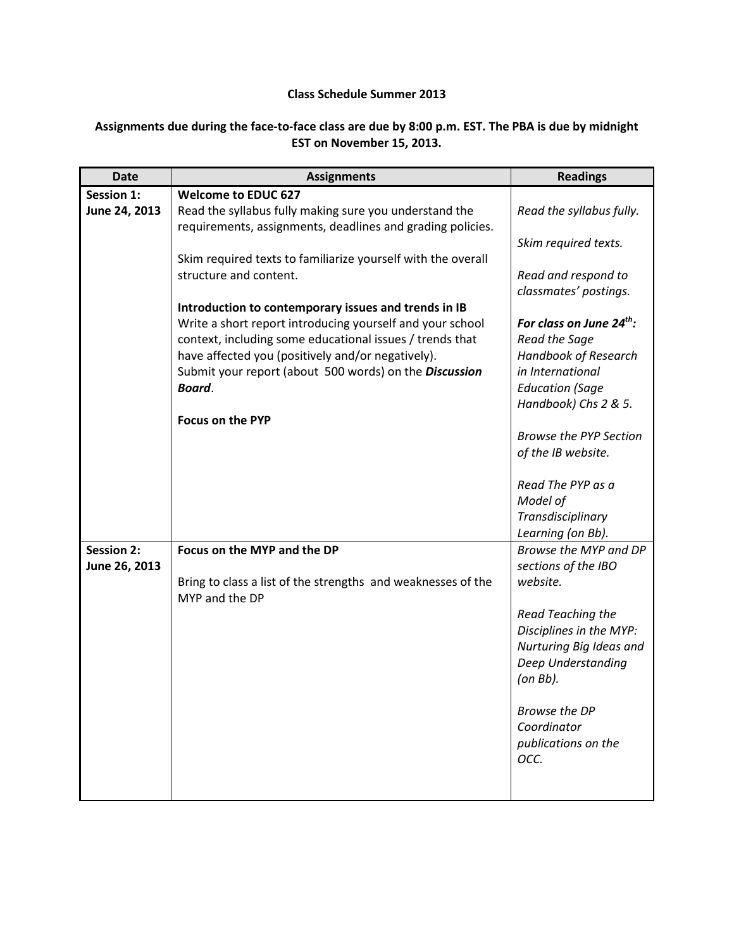# **Class Schedule Summer 2013**

# **Assignments due during the face-to-face class are due by 8:00 p.m. EST. The PBA is due by midnight EST on November 15, 2013.**

| <b>Date</b>       | <b>Assignments</b>                                                                                                    | <b>Readings</b>                                       |
|-------------------|-----------------------------------------------------------------------------------------------------------------------|-------------------------------------------------------|
| <b>Session 1:</b> | <b>Welcome to EDUC 627</b>                                                                                            |                                                       |
| June 24, 2013     | Read the syllabus fully making sure you understand the                                                                | Read the syllabus fully.                              |
|                   | requirements, assignments, deadlines and grading policies.                                                            |                                                       |
|                   |                                                                                                                       | Skim required texts.                                  |
|                   | Skim required texts to familiarize yourself with the overall                                                          |                                                       |
|                   | structure and content.                                                                                                | Read and respond to                                   |
|                   |                                                                                                                       | classmates' postings.                                 |
|                   | Introduction to contemporary issues and trends in IB                                                                  |                                                       |
|                   | Write a short report introducing yourself and your school<br>context, including some educational issues / trends that | For class on June 24 <sup>th</sup> :<br>Read the Sage |
|                   | have affected you (positively and/or negatively).                                                                     | Handbook of Research                                  |
|                   | Submit your report (about 500 words) on the Discussion                                                                | in International                                      |
|                   | Board.                                                                                                                | <b>Education (Sage</b>                                |
|                   |                                                                                                                       | Handbook) Chs 2 & 5.                                  |
|                   | <b>Focus on the PYP</b>                                                                                               |                                                       |
|                   |                                                                                                                       | <b>Browse the PYP Section</b>                         |
|                   |                                                                                                                       | of the IB website.                                    |
|                   |                                                                                                                       |                                                       |
|                   |                                                                                                                       | Read The PYP as a                                     |
|                   |                                                                                                                       | Model of                                              |
|                   |                                                                                                                       | Transdisciplinary                                     |
|                   |                                                                                                                       | Learning (on Bb).                                     |
| <b>Session 2:</b> | Focus on the MYP and the DP                                                                                           | Browse the MYP and DP                                 |
| June 26, 2013     |                                                                                                                       | sections of the IBO                                   |
|                   | Bring to class a list of the strengths and weaknesses of the<br>MYP and the DP                                        | website.                                              |
|                   |                                                                                                                       | Read Teaching the                                     |
|                   |                                                                                                                       | Disciplines in the MYP:                               |
|                   |                                                                                                                       | Nurturing Big Ideas and                               |
|                   |                                                                                                                       | Deep Understanding                                    |
|                   |                                                                                                                       | $($ on Bb $).$                                        |
|                   |                                                                                                                       |                                                       |
|                   |                                                                                                                       | Browse the DP<br>Coordinator                          |
|                   |                                                                                                                       | publications on the                                   |
|                   |                                                                                                                       | OCC.                                                  |
|                   |                                                                                                                       |                                                       |
|                   |                                                                                                                       |                                                       |